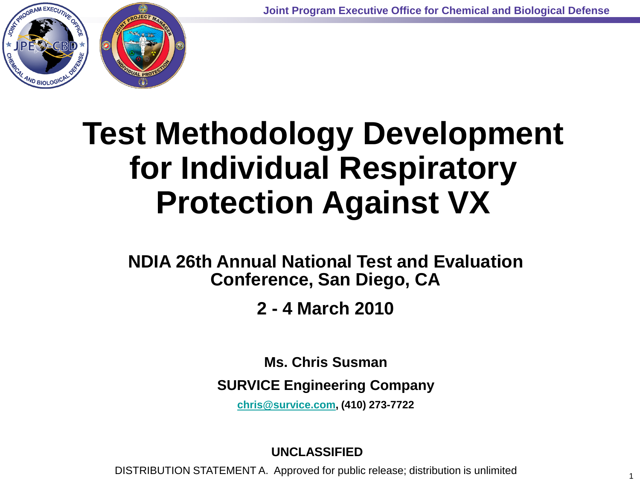1



# **Test Methodology Development for Individual Respiratory Protection Against VX**

**NDIA 26th Annual National Test and Evaluation Conference, San Diego, CA**

**2 - 4 March 2010** 

**Ms. Chris Susman**

**SURVICE Engineering Company**

**[chris@survice.com,](mailto:chris@survice.com) (410) 273-7722**

### **UNCLASSIFIED**

DISTRIBUTION STATEMENT A. Approved for public release; distribution is unlimited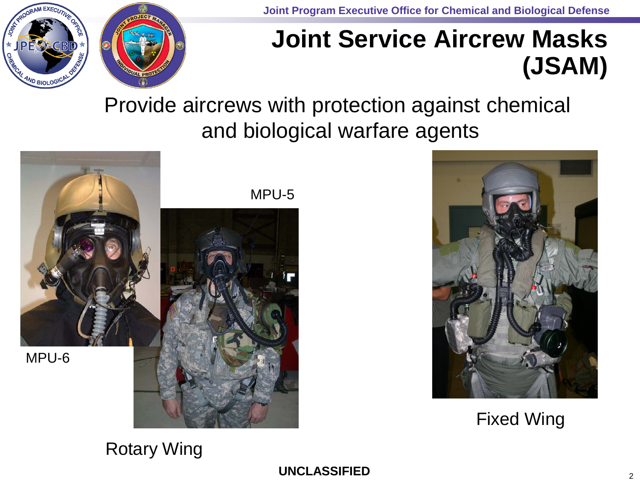

**Joint Program Executive Office for Chemical and Biological Defense**

### **Joint Service Aircrew Masks (JSAM)**

Provide aircrews with protection against chemical and biological warfare agents





Fixed Wing

### Rotary Wing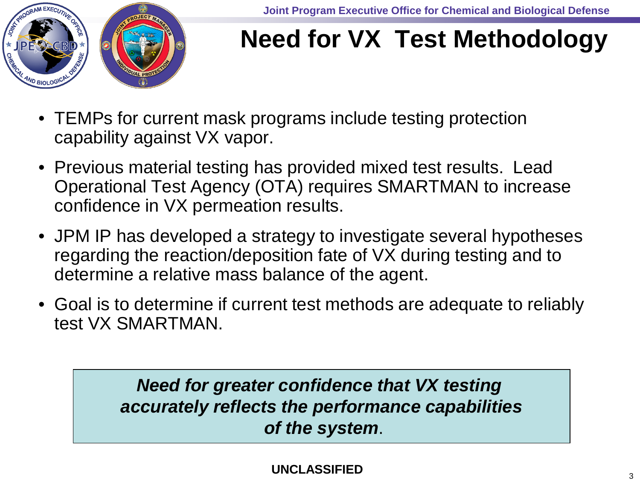

### **Need for VX Test Methodology**

- TEMPs for current mask programs include testing protection capability against VX vapor.
- Previous material testing has provided mixed test results. Lead Operational Test Agency (OTA) requires SMARTMAN to increase confidence in VX permeation results.
- JPM IP has developed a strategy to investigate several hypotheses regarding the reaction/deposition fate of VX during testing and to determine a relative mass balance of the agent.
- Goal is to determine if current test methods are adequate to reliably test VX SMARTMAN.

*Need for greater confidence that VX testing accurately reflects the performance capabilities of the system*.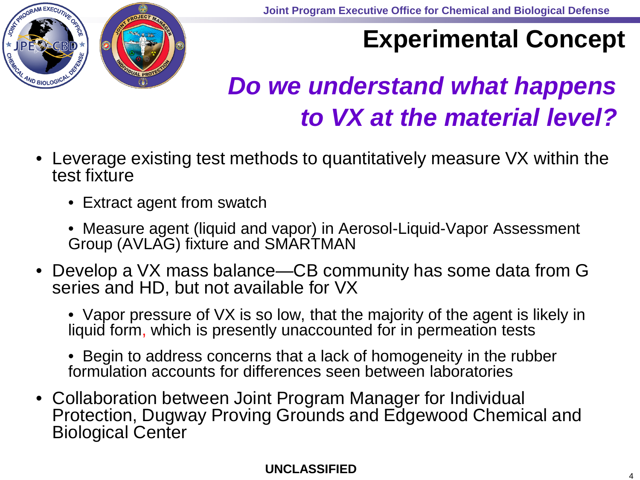

## **Experimental Concept**

## *Do we understand what happens to VX at the material level?*

- Leverage existing test methods to quantitatively measure VX within the test fixture
	- Extract agent from swatch
	- Measure agent (liquid and vapor) in Aerosol-Liquid-Vapor Assessment Group (AVLAG) fixture and SMARTMAN
- Develop a VX mass balance—CB community has some data from G series and HD, but not available for VX
	- Vapor pressure of VX is so low, that the majority of the agent is likely in liquid form, which is presently unaccounted for in permeation tests
	- Begin to address concerns that a lack of homogeneity in the rubber formulation accounts for differences seen between laboratories
- Collaboration between Joint Program Manager for Individual Protection, Dugway Proving Grounds and Edgewood Chemical and Biological Center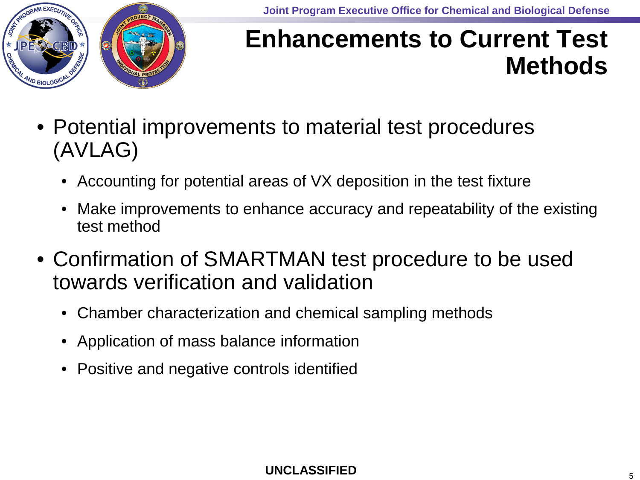

### **Enhancements to Current Test Methods**

- Potential improvements to material test procedures (AVLAG)
	- Accounting for potential areas of VX deposition in the test fixture
	- Make improvements to enhance accuracy and repeatability of the existing test method
- Confirmation of SMARTMAN test procedure to be used towards verification and validation
	- Chamber characterization and chemical sampling methods
	- Application of mass balance information
	- Positive and negative controls identified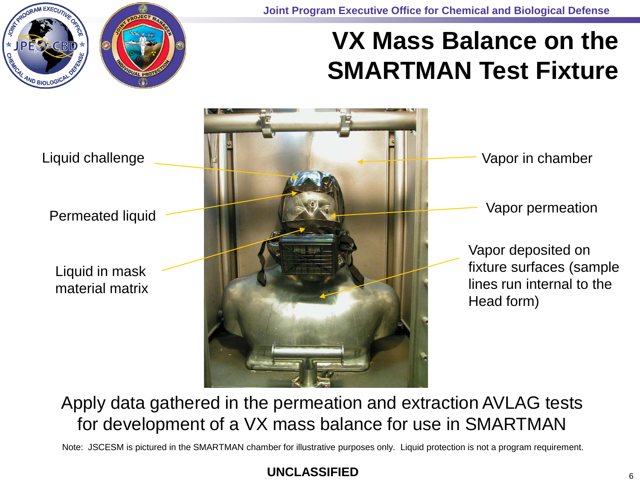**Joint Program Executive Office for Chemical and Biological Defense**

# AND BIOLOGI

### **VX Mass Balance on the SMARTMAN Test Fixture**



### Apply data gathered in the permeation and extraction AVLAG tests for development of a VX mass balance for use in SMARTMAN

Note: JSCESM is pictured in the SMARTMAN chamber for illustrative purposes only. Liquid protection is not a program requirement.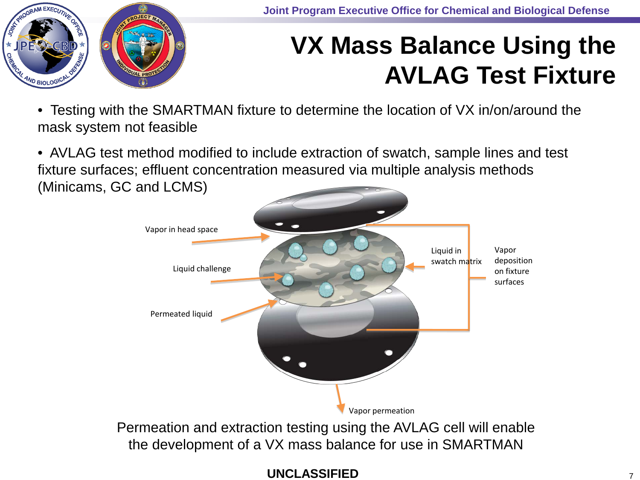

## **VX Mass Balance Using the AVLAG Test Fixture**

• Testing with the SMARTMAN fixture to determine the location of VX in/on/around the mask system not feasible

• AVLAG test method modified to include extraction of swatch, sample lines and test fixture surfaces; effluent concentration measured via multiple analysis methods (Minicams, GC and LCMS)

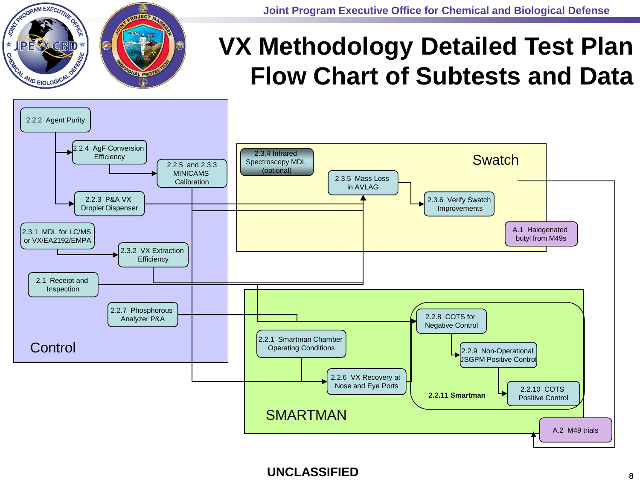RESIDERAM EXECUTIVE **IPE CECBD** REGIL AND BIOLOGICAL UAL PRO

**Joint Program Executive Office for Chemical and Biological Defense**

### **VX Methodology Detailed Test Plan Flow Chart of Subtests and Data**

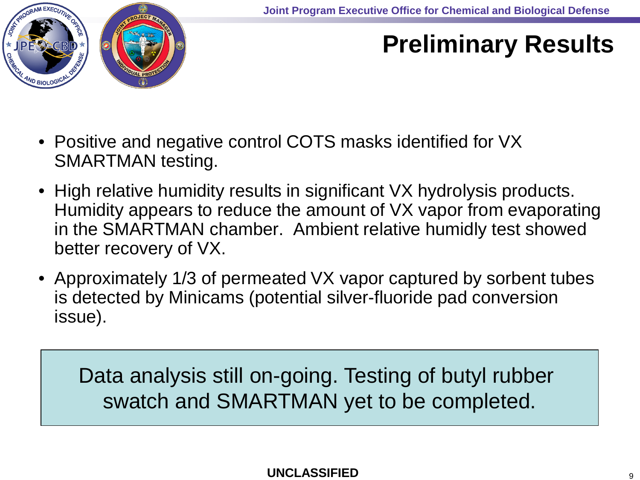

## **Preliminary Results**

- Positive and negative control COTS masks identified for VX SMARTMAN testing.
- High relative humidity results in significant VX hydrolysis products. Humidity appears to reduce the amount of VX vapor from evaporating in the SMARTMAN chamber. Ambient relative humidly test showed better recovery of VX.
- Approximately 1/3 of permeated VX vapor captured by sorbent tubes is detected by Minicams (potential silver-fluoride pad conversion issue).

Data analysis still on-going. Testing of butyl rubber swatch and SMARTMAN yet to be completed.